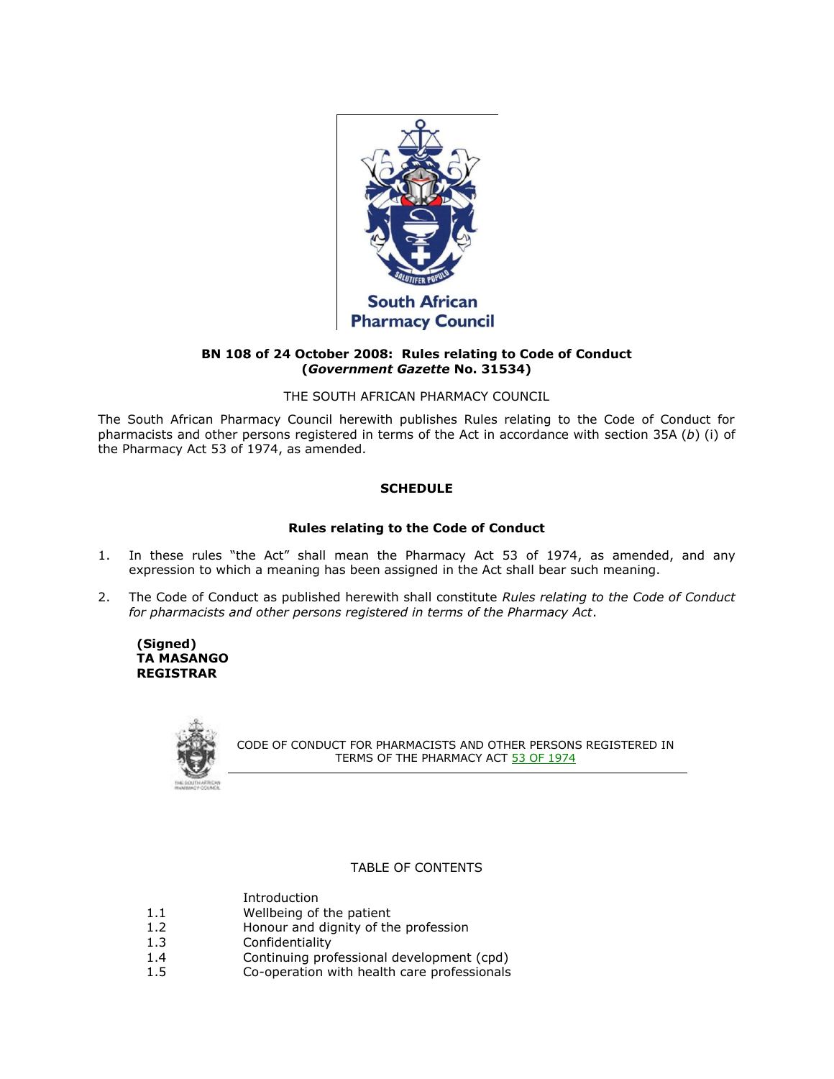

# **BN 108 of 24 October 2008: Rules relating to Code of Conduct (***Government Gazette* **No. 31534)**

THE SOUTH AFRICAN PHARMACY COUNCIL

The South African Pharmacy Council herewith publishes Rules relating to the Code of Conduct for pharmacists and other persons registered in terms of the Act in accordance with [section 35A](http://www.mylexisnexis.co.za/nxt/gateway.dll/jilc/kilc/xjsg/zmsg/0msg/i34h#5) (*b*) (i) of the Pharmacy Act [53 of 1974,](http://www.mylexisnexis.co.za/nxt/gateway.dll/jilc/kilc/xjsg/zmsg/0msg#0) as amended.

# **SCHEDULE**

# **Rules relating to the Code of Conduct**

- 1. In these rules "the Act" shall mean the Pharmacy Act [53 of 1974,](http://www.mylexisnexis.co.za/nxt/gateway.dll/jilc/kilc/xjsg/zmsg/0msg#0) as amended, and any expression to which a meaning has been assigned in the Act shall bear such meaning.
- 2. The Code of Conduct as published herewith shall constitute *Rules relating to the Code of Conduct for pharmacists and other persons registered in terms of the Pharmacy Act*.

**(Signed) TA MASANGO REGISTRAR**



CODE OF CONDUCT FOR PHARMACISTS AND OTHER PERSONS REGISTERED IN TERMS OF THE PHARMACY ACT [53 OF 1974](http://www.mylexisnexis.co.za/nxt/gateway.dll/jilc/kilc/xjsg/zmsg/0msg#0)

# TABLE OF CONTENTS

- [Introduction](http://www.mylexisnexis.co.za/nxt/gateway.dll/jilc/kilc/xjsg/zmsg/cnsg/zjk2a/8n1fb/9n1fb#43z)
- [1.1](http://www.mylexisnexis.co.za/nxt/gateway.dll/jilc/kilc/xjsg/zmsg/cnsg/zjk2a/8n1fb/ao1fb#441) Wellbeing of the patient
- [1.2](http://www.mylexisnexis.co.za/nxt/gateway.dll/jilc/kilc/xjsg/zmsg/cnsg/zjk2a/8n1fb/bo1fb#442) Honour and dignity of the profession
- [1.3](http://www.mylexisnexis.co.za/nxt/gateway.dll/jilc/kilc/xjsg/zmsg/cnsg/zjk2a/8n1fb/co1fb#443) Confidentiality
- [1.4](http://www.mylexisnexis.co.za/nxt/gateway.dll/jilc/kilc/xjsg/zmsg/cnsg/zjk2a/8n1fb/do1fb#444) Continuing professional development (cpd)
- [1.5](http://www.mylexisnexis.co.za/nxt/gateway.dll/jilc/kilc/xjsg/zmsg/cnsg/zjk2a/8n1fb/eo1fb#445) Co-operation with health care professionals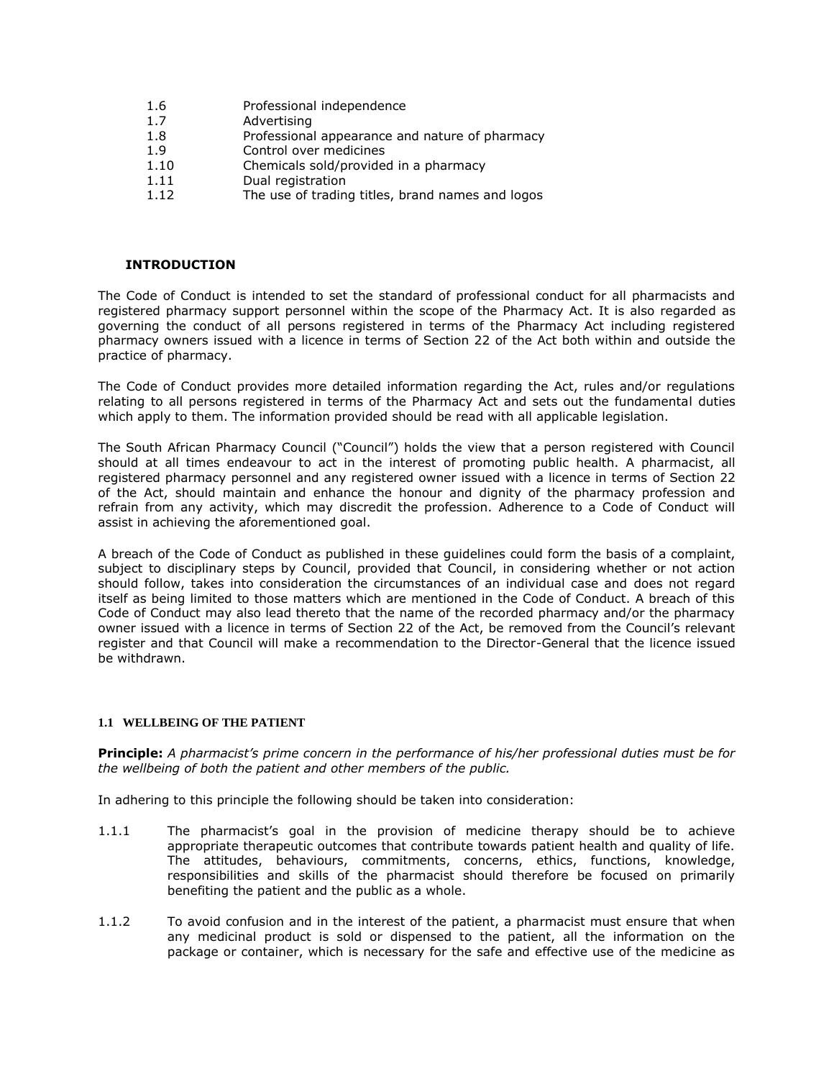- [1.6](http://www.mylexisnexis.co.za/nxt/gateway.dll/jilc/kilc/xjsg/zmsg/cnsg/zjk2a/8n1fb/fo1fb#446) Professional independence
- [1.7](http://www.mylexisnexis.co.za/nxt/gateway.dll/jilc/kilc/xjsg/zmsg/cnsg/zjk2a/8n1fb/go1fb#447) Advertising
- [1.8](http://www.mylexisnexis.co.za/nxt/gateway.dll/jilc/kilc/xjsg/zmsg/cnsg/zjk2a/8n1fb/ho1fb#448) Professional appearance and nature of pharmacy
- [1.9](http://www.mylexisnexis.co.za/nxt/gateway.dll/jilc/kilc/xjsg/zmsg/cnsg/zjk2a/8n1fb/io1fb#449) Control over medicines
- [1.10](http://www.mylexisnexis.co.za/nxt/gateway.dll/jilc/kilc/xjsg/zmsg/cnsg/zjk2a/8n1fb/jo1fb#44a) Chemicals sold/provided in a pharmacy
- [1.11](http://www.mylexisnexis.co.za/nxt/gateway.dll/jilc/kilc/xjsg/zmsg/cnsg/zjk2a/8n1fb/ko1fb#44b) Dual registration
- [1.12](http://www.mylexisnexis.co.za/nxt/gateway.dll/jilc/kilc/xjsg/zmsg/cnsg/zjk2a/8n1fb/lo1fb#44c) The use of trading titles, brand names and logos

## **INTRODUCTION**

The Code of Conduct is intended to set the standard of professional conduct for all pharmacists and registered pharmacy support personnel within the scope of the Pharmacy Act. It is also regarded as governing the conduct of all persons registered in terms of the Pharmacy Act including registered pharmacy owners issued with a licence in terms of [Section 22](http://www.mylexisnexis.co.za/nxt/gateway.dll/jilc/kilc/xjsg/zmsg/0msg/m24h#0) of the Act both within and outside the practice of pharmacy.

The Code of Conduct provides more detailed information regarding the Act, rules and/or regulations relating to all persons registered in terms of the Pharmacy Act and sets out the fundamental duties which apply to them. The information provided should be read with all applicable legislation.

The South African Pharmacy Council ("Council") holds the view that a person registered with Council should at all times endeavour to act in the interest of promoting public health. A pharmacist, all registered pharmacy personnel and any registered owner issued with a licence in terms of [Section 22](http://www.mylexisnexis.co.za/nxt/gateway.dll/jilc/kilc/xjsg/zmsg/0msg/m24h#0) of the Act, should maintain and enhance the honour and dignity of the pharmacy profession and refrain from any activity, which may discredit the profession. Adherence to a Code of Conduct will assist in achieving the aforementioned goal.

A breach of the Code of Conduct as published in these guidelines could form the basis of a complaint, subject to disciplinary steps by Council, provided that Council, in considering whether or not action should follow, takes into consideration the circumstances of an individual case and does not regard itself as being limited to those matters which are mentioned in the Code of Conduct. A breach of this Code of Conduct may also lead thereto that the name of the recorded pharmacy and/or the pharmacy owner issued with a licence in terms of [Section 22](http://www.mylexisnexis.co.za/nxt/gateway.dll/jilc/kilc/xjsg/zmsg/0msg/m24h#0) of the Act, be removed from the Council's relevant register and that Council will make a recommendation to the Director-General that the licence issued be withdrawn.

#### **1.1 WELLBEING OF THE PATIENT**

**Principle:** *A pharmacist's prime concern in the performance of his/her professional duties must be for the wellbeing of both the patient and other members of the public.*

In adhering to this principle the following should be taken into consideration:

- 1.1.1 The pharmacist's goal in the provision of medicine therapy should be to achieve appropriate therapeutic outcomes that contribute towards patient health and quality of life. The attitudes, behaviours, commitments, concerns, ethics, functions, knowledge, responsibilities and skills of the pharmacist should therefore be focused on primarily benefiting the patient and the public as a whole.
- 1.1.2 To avoid confusion and in the interest of the patient, a pharmacist must ensure that when any medicinal product is sold or dispensed to the patient, all the information on the package or container, which is necessary for the safe and effective use of the medicine as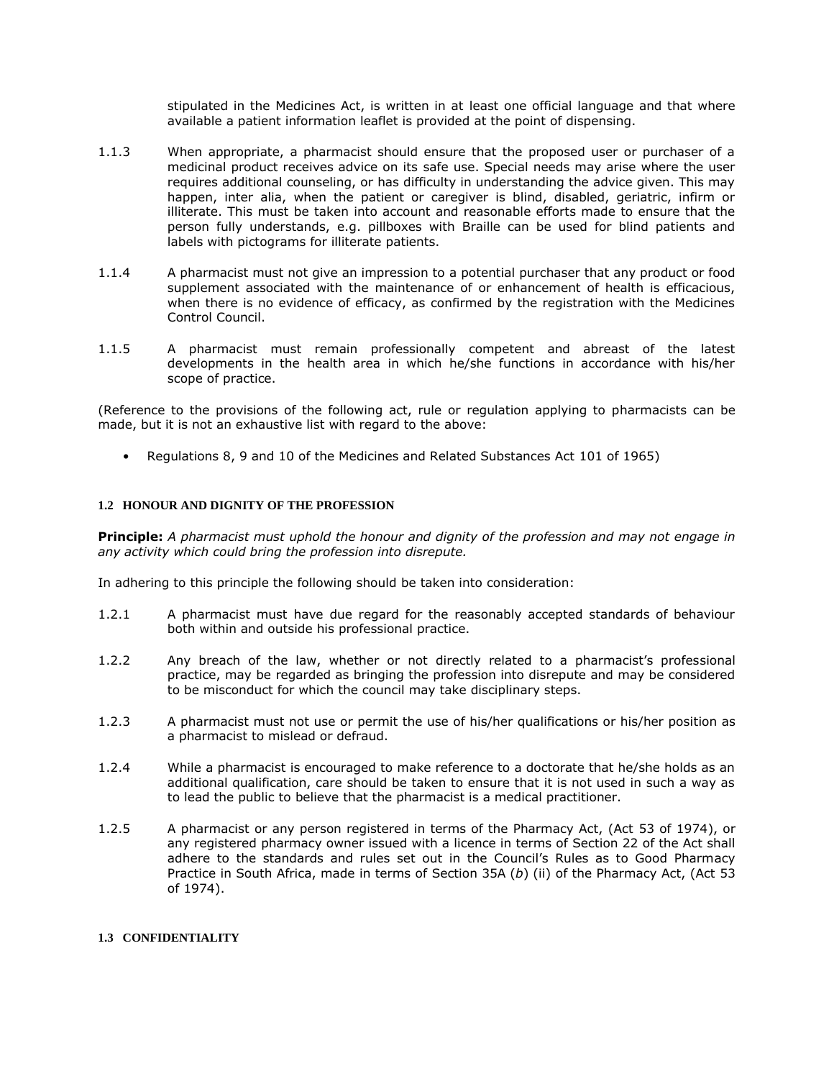stipulated in the Medicines Act, is written in at least one official language and that where available a patient information leaflet is provided at the point of dispensing.

- 1.1.3 When appropriate, a pharmacist should ensure that the proposed user or purchaser of a medicinal product receives advice on its safe use. Special needs may arise where the user requires additional counseling, or has difficulty in understanding the advice given. This may happen, inter alia, when the patient or caregiver is blind, disabled, geriatric, infirm or illiterate. This must be taken into account and reasonable efforts made to ensure that the person fully understands, e.g. pillboxes with Braille can be used for blind patients and labels with pictograms for illiterate patients.
- 1.1.4 A pharmacist must not give an impression to a potential purchaser that any product or food supplement associated with the maintenance of or enhancement of health is efficacious, when there is no evidence of efficacy, as confirmed by the registration with the Medicines Control Council.
- 1.1.5 A pharmacist must remain professionally competent and abreast of the latest developments in the health area in which he/she functions in accordance with his/her scope of practice.

(Reference to the provisions of the following act, rule or regulation applying to pharmacists can be made, but it is not an exhaustive list with regard to the above:

• Regulations 8, 9 and 10 of the Medicines and Related Substances Act [101 of 1965\)](http://www.mylexisnexis.co.za/nxt/gateway.dll/jilc/kilc/ezrg/p5rg/q5rg#0)

## **1.2 HONOUR AND DIGNITY OF THE PROFESSION**

**Principle:** *A pharmacist must uphold the honour and dignity of the profession and may not engage in any activity which could bring the profession into disrepute.*

In adhering to this principle the following should be taken into consideration:

- 1.2.1 A pharmacist must have due regard for the reasonably accepted standards of behaviour both within and outside his professional practice.
- 1.2.2 Any breach of the law, whether or not directly related to a pharmacist's professional practice, may be regarded as bringing the profession into disrepute and may be considered to be misconduct for which the council may take disciplinary steps.
- 1.2.3 A pharmacist must not use or permit the use of his/her qualifications or his/her position as a pharmacist to mislead or defraud.
- 1.2.4 While a pharmacist is encouraged to make reference to a doctorate that he/she holds as an additional qualification, care should be taken to ensure that it is not used in such a way as to lead the public to believe that the pharmacist is a medical practitioner.
- 1.2.5 A pharmacist or any person registered in terms of the Pharmacy Act, (Act [53 of 1974\)](http://www.mylexisnexis.co.za/nxt/gateway.dll/jilc/kilc/xjsg/zmsg/0msg#0), or any registered pharmacy owner issued with a licence in terms of [Section 22](http://www.mylexisnexis.co.za/nxt/gateway.dll/jilc/kilc/xjsg/zmsg/0msg/m24h#0) of the Act shall adhere to the standards and rules set out in the Council's Rules as to Good Pharmacy Practice in South Africa, made in terms of [Section 35A](http://www.mylexisnexis.co.za/nxt/gateway.dll/jilc/kilc/xjsg/zmsg/0msg/i34h#6) (*b*) (ii) of the Pharmacy Act, (Act [53](http://www.mylexisnexis.co.za/nxt/gateway.dll/jilc/kilc/xjsg/zmsg/0msg#0)  [of 1974\)](http://www.mylexisnexis.co.za/nxt/gateway.dll/jilc/kilc/xjsg/zmsg/0msg#0).

### **1.3 CONFIDENTIALITY**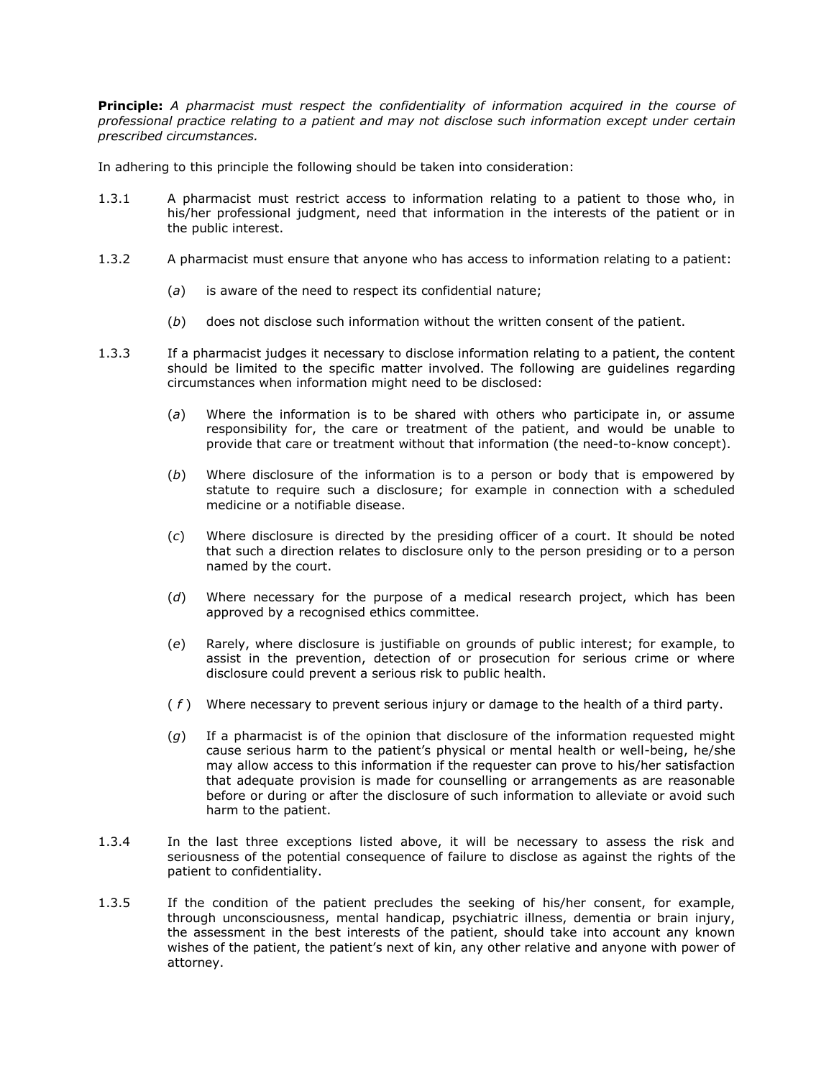**Principle:** *A pharmacist must respect the confidentiality of information acquired in the course of professional practice relating to a patient and may not disclose such information except under certain prescribed circumstances.*

In adhering to this principle the following should be taken into consideration:

- 1.3.1 A pharmacist must restrict access to information relating to a patient to those who, in his/her professional judgment, need that information in the interests of the patient or in the public interest.
- 1.3.2 A pharmacist must ensure that anyone who has access to information relating to a patient:
	- (*a*) is aware of the need to respect its confidential nature;
	- (*b*) does not disclose such information without the written consent of the patient.
- 1.3.3 If a pharmacist judges it necessary to disclose information relating to a patient, the content should be limited to the specific matter involved. The following are guidelines regarding circumstances when information might need to be disclosed:
	- (*a*) Where the information is to be shared with others who participate in, or assume responsibility for, the care or treatment of the patient, and would be unable to provide that care or treatment without that information (the need-to-know concept).
	- (*b*) Where disclosure of the information is to a person or body that is empowered by statute to require such a disclosure; for example in connection with a scheduled medicine or a notifiable disease.
	- (*c*) Where disclosure is directed by the presiding officer of a court. It should be noted that such a direction relates to disclosure only to the person presiding or to a person named by the court.
	- (*d*) Where necessary for the purpose of a medical research project, which has been approved by a recognised ethics committee.
	- (*e*) Rarely, where disclosure is justifiable on grounds of public interest; for example, to assist in the prevention, detection of or prosecution for serious crime or where disclosure could prevent a serious risk to public health.
	- ( *f* ) Where necessary to prevent serious injury or damage to the health of a third party.
	- (*g*) If a pharmacist is of the opinion that disclosure of the information requested might cause serious harm to the patient's physical or mental health or well-being, he/she may allow access to this information if the requester can prove to his/her satisfaction that adequate provision is made for counselling or arrangements as are reasonable before or during or after the disclosure of such information to alleviate or avoid such harm to the patient.
- 1.3.4 In the last three exceptions listed above, it will be necessary to assess the risk and seriousness of the potential consequence of failure to disclose as against the rights of the patient to confidentiality.
- 1.3.5 If the condition of the patient precludes the seeking of his/her consent, for example, through unconsciousness, mental handicap, psychiatric illness, dementia or brain injury, the assessment in the best interests of the patient, should take into account any known wishes of the patient, the patient's next of kin, any other relative and anyone with power of attorney.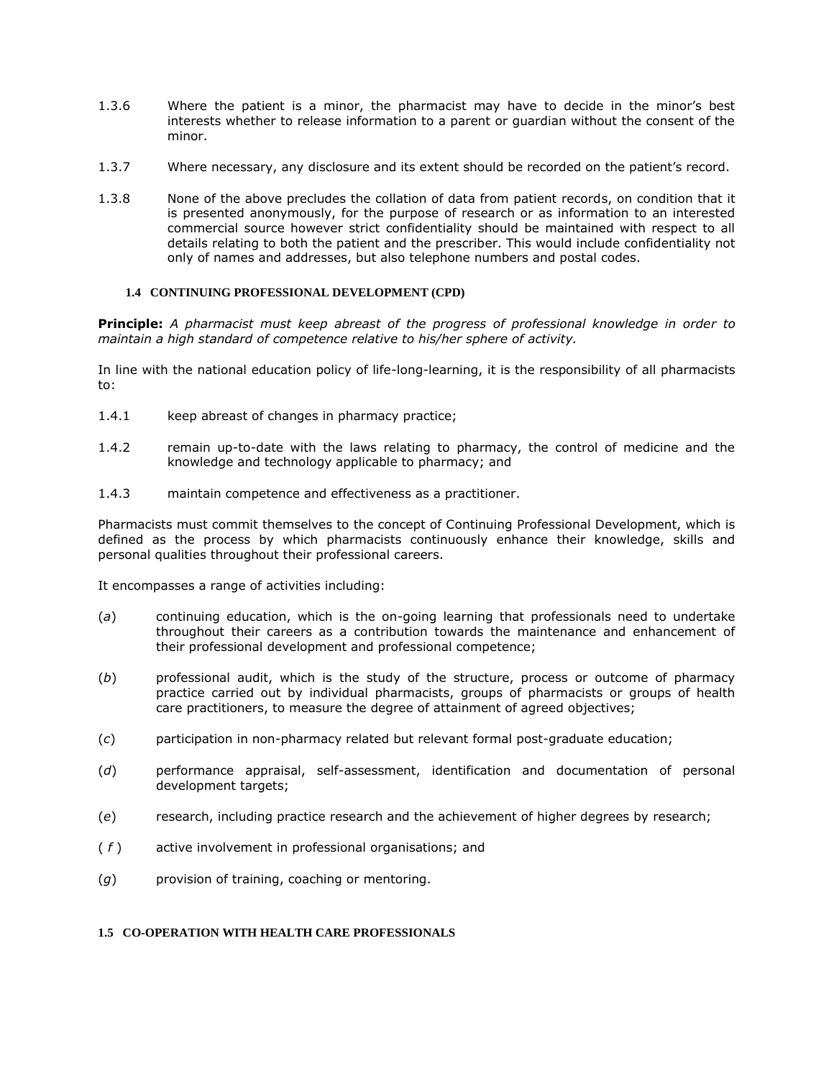- 1.3.6 Where the patient is a minor, the pharmacist may have to decide in the minor's best interests whether to release information to a parent or guardian without the consent of the minor.
- 1.3.7 Where necessary, any disclosure and its extent should be recorded on the patient's record.
- 1.3.8 None of the above precludes the collation of data from patient records, on condition that it is presented anonymously, for the purpose of research or as information to an interested commercial source however strict confidentiality should be maintained with respect to all details relating to both the patient and the prescriber. This would include confidentiality not only of names and addresses, but also telephone numbers and postal codes.

## **1.4 CONTINUING PROFESSIONAL DEVELOPMENT (CPD)**

**Principle:** *A pharmacist must keep abreast of the progress of professional knowledge in order to maintain a high standard of competence relative to his/her sphere of activity.*

In line with the national education policy of life-long-learning, it is the responsibility of all pharmacists to:

- 1.4.1 keep abreast of changes in pharmacy practice;
- 1.4.2 remain up-to-date with the laws relating to pharmacy, the control of medicine and the knowledge and technology applicable to pharmacy; and
- 1.4.3 maintain competence and effectiveness as a practitioner.

Pharmacists must commit themselves to the concept of Continuing Professional Development, which is defined as the process by which pharmacists continuously enhance their knowledge, skills and personal qualities throughout their professional careers.

It encompasses a range of activities including:

- (*a*) continuing education, which is the on-going learning that professionals need to undertake throughout their careers as a contribution towards the maintenance and enhancement of their professional development and professional competence;
- (*b*) professional audit, which is the study of the structure, process or outcome of pharmacy practice carried out by individual pharmacists, groups of pharmacists or groups of health care practitioners, to measure the degree of attainment of agreed objectives;
- (*c*) participation in non-pharmacy related but relevant formal post-graduate education;
- (*d*) performance appraisal, self-assessment, identification and documentation of personal development targets;
- (*e*) research, including practice research and the achievement of higher degrees by research;
- ( *f* ) active involvement in professional organisations; and
- (*g*) provision of training, coaching or mentoring.

# **1.5 CO-OPERATION WITH HEALTH CARE PROFESSIONALS**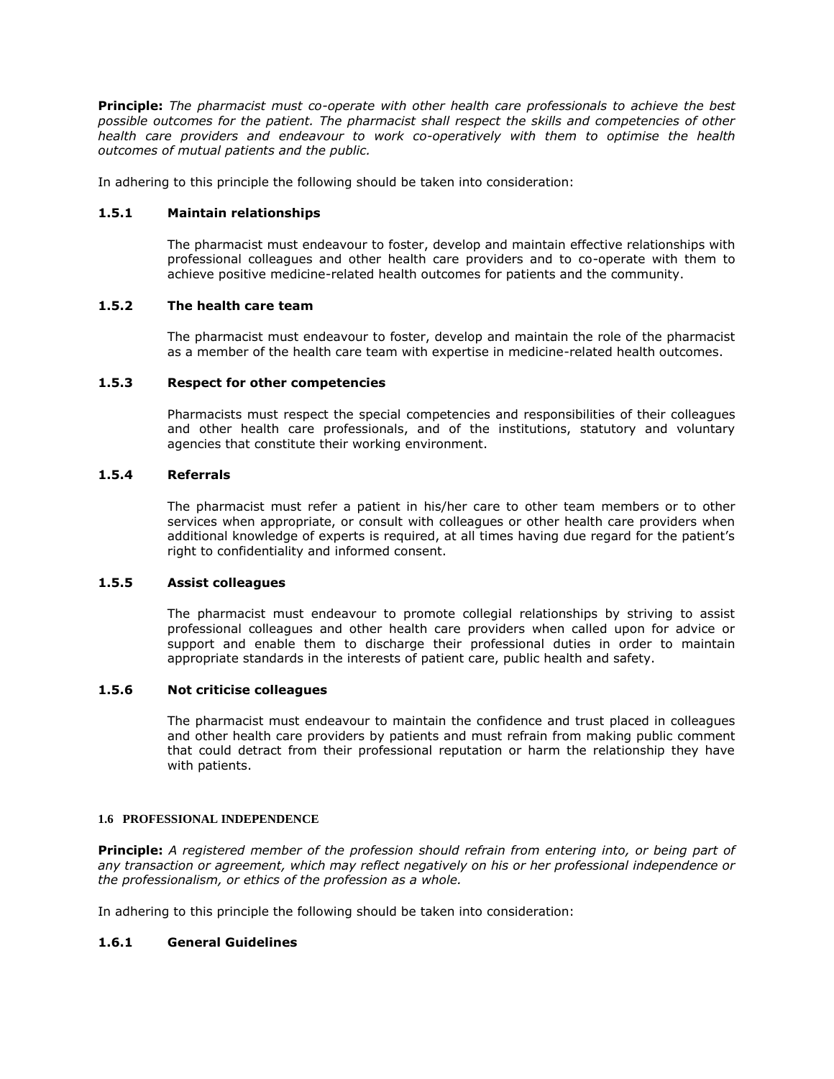**Principle:** *The pharmacist must co-operate with other health care professionals to achieve the best possible outcomes for the patient. The pharmacist shall respect the skills and competencies of other health care providers and endeavour to work co-operatively with them to optimise the health outcomes of mutual patients and the public.*

In adhering to this principle the following should be taken into consideration:

## **1.5.1 Maintain relationships**

The pharmacist must endeavour to foster, develop and maintain effective relationships with professional colleagues and other health care providers and to co-operate with them to achieve positive medicine-related health outcomes for patients and the community.

### **1.5.2 The health care team**

The pharmacist must endeavour to foster, develop and maintain the role of the pharmacist as a member of the health care team with expertise in medicine-related health outcomes.

# **1.5.3 Respect for other competencies**

Pharmacists must respect the special competencies and responsibilities of their colleagues and other health care professionals, and of the institutions, statutory and voluntary agencies that constitute their working environment.

## **1.5.4 Referrals**

The pharmacist must refer a patient in his/her care to other team members or to other services when appropriate, or consult with colleagues or other health care providers when additional knowledge of experts is required, at all times having due regard for the patient's right to confidentiality and informed consent.

#### **1.5.5 Assist colleagues**

The pharmacist must endeavour to promote collegial relationships by striving to assist professional colleagues and other health care providers when called upon for advice or support and enable them to discharge their professional duties in order to maintain appropriate standards in the interests of patient care, public health and safety.

# **1.5.6 Not criticise colleagues**

The pharmacist must endeavour to maintain the confidence and trust placed in colleagues and other health care providers by patients and must refrain from making public comment that could detract from their professional reputation or harm the relationship they have with patients.

#### **1.6 PROFESSIONAL INDEPENDENCE**

**Principle:** *A registered member of the profession should refrain from entering into, or being part of any transaction or agreement, which may reflect negatively on his or her professional independence or the professionalism, or ethics of the profession as a whole.*

In adhering to this principle the following should be taken into consideration:

# **1.6.1 General Guidelines**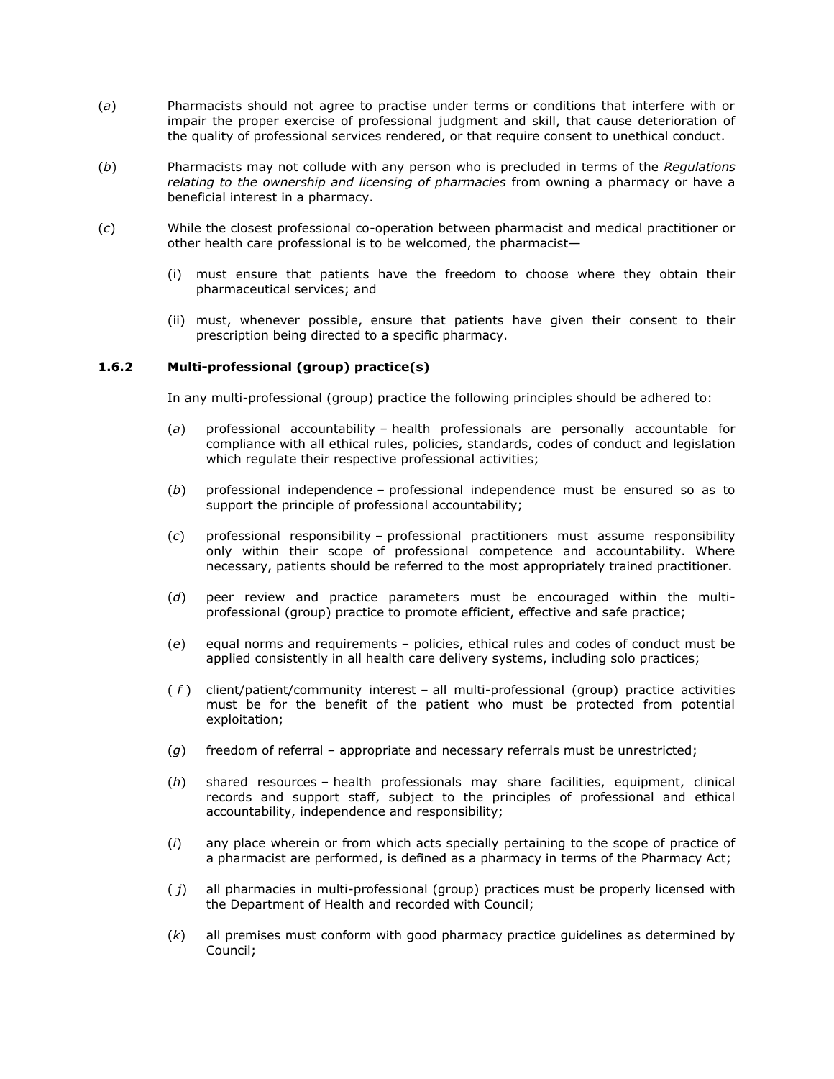- (*a*) Pharmacists should not agree to practise under terms or conditions that interfere with or impair the proper exercise of professional judgment and skill, that cause deterioration of the quality of professional services rendered, or that require consent to unethical conduct.
- (*b*) Pharmacists may not collude with any person who is precluded in terms of the *Regulations relating to the ownership and licensing of pharmacies* from owning a pharmacy or have a beneficial interest in a pharmacy.
- (*c*) While the closest professional co-operation between pharmacist and medical practitioner or other health care professional is to be welcomed, the pharmacist—
	- (i) must ensure that patients have the freedom to choose where they obtain their pharmaceutical services; and
	- (ii) must, whenever possible, ensure that patients have given their consent to their prescription being directed to a specific pharmacy.

## **1.6.2 Multi-professional (group) practice(s)**

In any multi-professional (group) practice the following principles should be adhered to:

- (*a*) professional accountability health professionals are personally accountable for compliance with all ethical rules, policies, standards, codes of conduct and legislation which regulate their respective professional activities;
- (*b*) professional independence professional independence must be ensured so as to support the principle of professional accountability;
- (*c*) professional responsibility professional practitioners must assume responsibility only within their scope of professional competence and accountability. Where necessary, patients should be referred to the most appropriately trained practitioner.
- (*d*) peer review and practice parameters must be encouraged within the multiprofessional (group) practice to promote efficient, effective and safe practice;
- (*e*) equal norms and requirements policies, ethical rules and codes of conduct must be applied consistently in all health care delivery systems, including solo practices;
- ( *f* ) client/patient/community interest all multi-professional (group) practice activities must be for the benefit of the patient who must be protected from potential exploitation;
- (*g*) freedom of referral appropriate and necessary referrals must be unrestricted;
- (*h*) shared resources health professionals may share facilities, equipment, clinical records and support staff, subject to the principles of professional and ethical accountability, independence and responsibility;
- (*i*) any place wherein or from which acts specially pertaining to the scope of practice of a pharmacist are performed, is defined as a pharmacy in terms of the Pharmacy Act;
- ( *j*) all pharmacies in multi-professional (group) practices must be properly licensed with the Department of Health and recorded with Council;
- (*k*) all premises must conform with good pharmacy practice guidelines as determined by Council;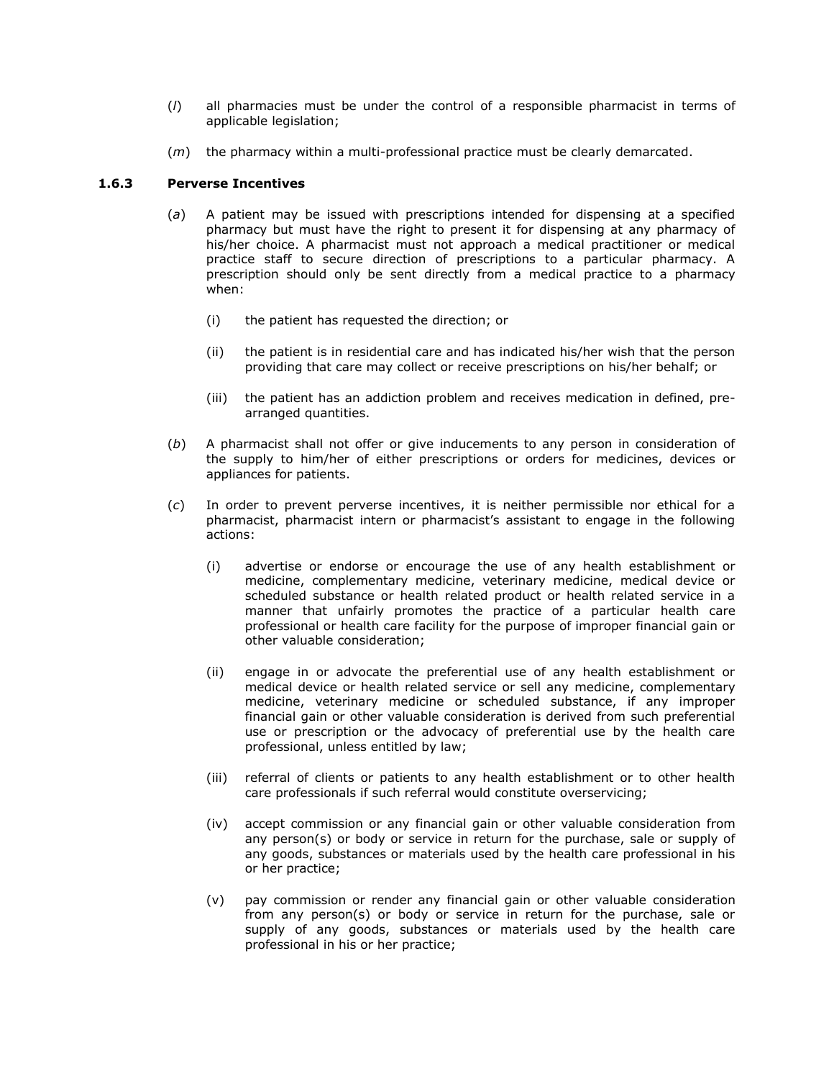- (*l*) all pharmacies must be under the control of a responsible pharmacist in terms of applicable legislation;
- (*m*) the pharmacy within a multi-professional practice must be clearly demarcated.

## **1.6.3 Perverse Incentives**

- (*a*) A patient may be issued with prescriptions intended for dispensing at a specified pharmacy but must have the right to present it for dispensing at any pharmacy of his/her choice. A pharmacist must not approach a medical practitioner or medical practice staff to secure direction of prescriptions to a particular pharmacy. A prescription should only be sent directly from a medical practice to a pharmacy when:
	- (i) the patient has requested the direction; or
	- (ii) the patient is in residential care and has indicated his/her wish that the person providing that care may collect or receive prescriptions on his/her behalf; or
	- (iii) the patient has an addiction problem and receives medication in defined, prearranged quantities.
- (*b*) A pharmacist shall not offer or give inducements to any person in consideration of the supply to him/her of either prescriptions or orders for medicines, devices or appliances for patients.
- (*c*) In order to prevent perverse incentives, it is neither permissible nor ethical for a pharmacist, pharmacist intern or pharmacist's assistant to engage in the following actions:
	- (i) advertise or endorse or encourage the use of any health establishment or medicine, complementary medicine, veterinary medicine, medical device or scheduled substance or health related product or health related service in a manner that unfairly promotes the practice of a particular health care professional or health care facility for the purpose of improper financial gain or other valuable consideration;
	- (ii) engage in or advocate the preferential use of any health establishment or medical device or health related service or sell any medicine, complementary medicine, veterinary medicine or scheduled substance, if any improper financial gain or other valuable consideration is derived from such preferential use or prescription or the advocacy of preferential use by the health care professional, unless entitled by law;
	- (iii) referral of clients or patients to any health establishment or to other health care professionals if such referral would constitute overservicing;
	- (iv) accept commission or any financial gain or other valuable consideration from any person(s) or body or service in return for the purchase, sale or supply of any goods, substances or materials used by the health care professional in his or her practice;
	- (v) pay commission or render any financial gain or other valuable consideration from any person(s) or body or service in return for the purchase, sale or supply of any goods, substances or materials used by the health care professional in his or her practice;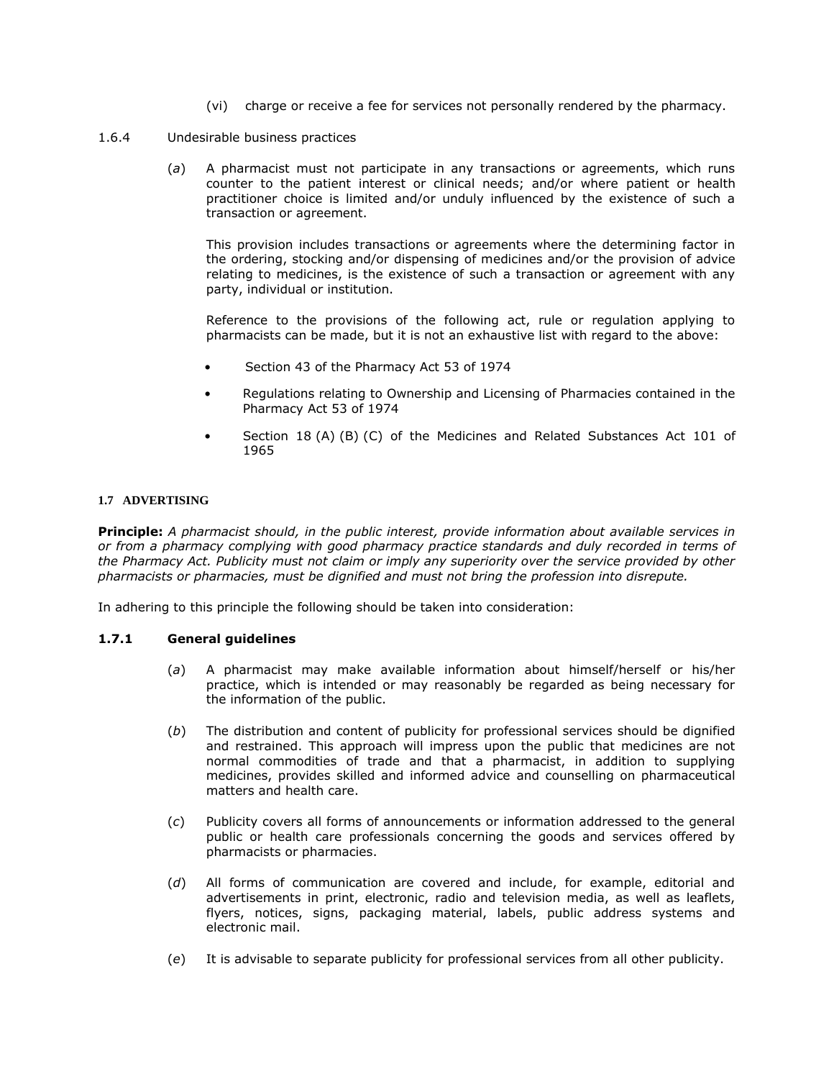- (vi) charge or receive a fee for services not personally rendered by the pharmacy.
- 1.6.4 Undesirable business practices
	- (*a*) A pharmacist must not participate in any transactions or agreements, which runs counter to the patient interest or clinical needs; and/or where patient or health practitioner choice is limited and/or unduly influenced by the existence of such a transaction or agreement.

This provision includes transactions or agreements where the determining factor in the ordering, stocking and/or dispensing of medicines and/or the provision of advice relating to medicines, is the existence of such a transaction or agreement with any party, individual or institution.

Reference to the provisions of the following act, rule or regulation applying to pharmacists can be made, but it is not an exhaustive list with regard to the above:

- [Section 43](http://www.mylexisnexis.co.za/nxt/gateway.dll/jilc/kilc/xjsg/zmsg/0msg/034h#0) of the Pharmacy Act [53 of 1974](http://www.mylexisnexis.co.za/nxt/gateway.dll/jilc/kilc/xjsg/zmsg/0msg#0)
- Regulations relating to Ownership and Licensing of Pharmacies contained in the Pharmacy Act [53 of 1974](http://www.mylexisnexis.co.za/nxt/gateway.dll/jilc/kilc/xjsg/zmsg/0msg#0)
- [Section 18](http://www.mylexisnexis.co.za/nxt/gateway.dll/jilc/kilc/ezrg/p5rg/q5rg/fanh#0) (A) (B) (C) of the Medicines and Related Substances Act [101 of](http://www.mylexisnexis.co.za/nxt/gateway.dll/jilc/kilc/ezrg/p5rg/q5rg#0)  [1965](http://www.mylexisnexis.co.za/nxt/gateway.dll/jilc/kilc/ezrg/p5rg/q5rg#0)

### **1.7 ADVERTISING**

**Principle:** *A pharmacist should, in the public interest, provide information about available services in or from a pharmacy complying with good pharmacy practice standards and duly recorded in terms of the Pharmacy Act. Publicity must not claim or imply any superiority over the service provided by other pharmacists or pharmacies, must be dignified and must not bring the profession into disrepute.*

In adhering to this principle the following should be taken into consideration:

# **1.7.1 General guidelines**

- (*a*) A pharmacist may make available information about himself/herself or his/her practice, which is intended or may reasonably be regarded as being necessary for the information of the public.
- (*b*) The distribution and content of publicity for professional services should be dignified and restrained. This approach will impress upon the public that medicines are not normal commodities of trade and that a pharmacist, in addition to supplying medicines, provides skilled and informed advice and counselling on pharmaceutical matters and health care.
- (*c*) Publicity covers all forms of announcements or information addressed to the general public or health care professionals concerning the goods and services offered by pharmacists or pharmacies.
- (*d*) All forms of communication are covered and include, for example, editorial and advertisements in print, electronic, radio and television media, as well as leaflets, flyers, notices, signs, packaging material, labels, public address systems and electronic mail.
- (*e*) It is advisable to separate publicity for professional services from all other publicity.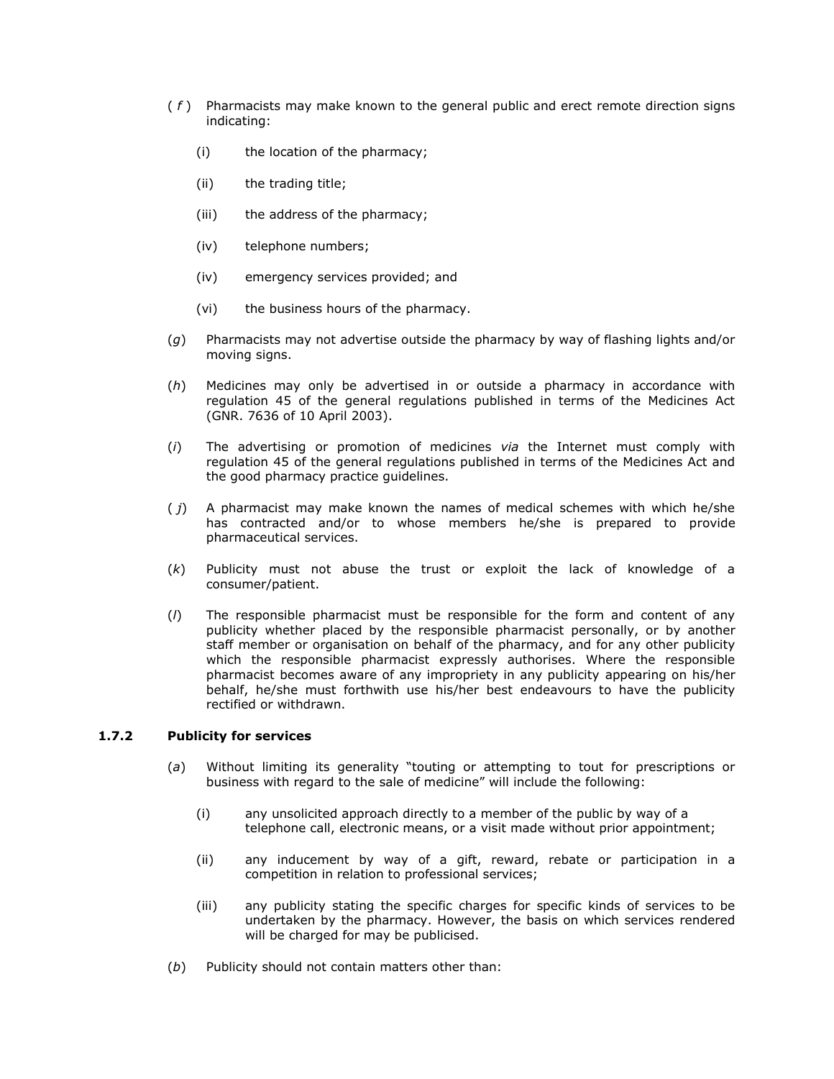- ( *f* ) Pharmacists may make known to the general public and erect remote direction signs indicating:
	- (i) the location of the pharmacy;
	- (ii) the trading title;
	- (iii) the address of the pharmacy;
	- (iv) telephone numbers;
	- (iv) emergency services provided; and
	- (vi) the business hours of the pharmacy.
- (*g*) Pharmacists may not advertise outside the pharmacy by way of flashing lights and/or moving signs.
- (*h*) Medicines may only be advertised in or outside a pharmacy in accordance with regulation 45 of the general regulations published in terms of the Medicines Act (GNR. 7636 of 10 April 2003).
- (*i*) The advertising or promotion of medicines *via* the Internet must comply with regulation 45 of the general regulations published in terms of the Medicines Act and the good pharmacy practice guidelines.
- ( *j*) A pharmacist may make known the names of medical schemes with which he/she has contracted and/or to whose members he/she is prepared to provide pharmaceutical services.
- (*k*) Publicity must not abuse the trust or exploit the lack of knowledge of a consumer/patient.
- (*l*) The responsible pharmacist must be responsible for the form and content of any publicity whether placed by the responsible pharmacist personally, or by another staff member or organisation on behalf of the pharmacy, and for any other publicity which the responsible pharmacist expressly authorises. Where the responsible pharmacist becomes aware of any impropriety in any publicity appearing on his/her behalf, he/she must forthwith use his/her best endeavours to have the publicity rectified or withdrawn.

# **1.7.2 Publicity for services**

- (a) Without limiting its generality "touting or attempting to tout for prescriptions or business with regard to the sale of medicine" will include the following:
	- (i) any unsolicited approach directly to a member of the public by way of a telephone call, electronic means, or a visit made without prior appointment;
	- (ii) any inducement by way of a gift, reward, rebate or participation in a competition in relation to professional services;
	- (iii) any publicity stating the specific charges for specific kinds of services to be undertaken by the pharmacy. However, the basis on which services rendered will be charged for may be publicised.
- (*b*) Publicity should not contain matters other than: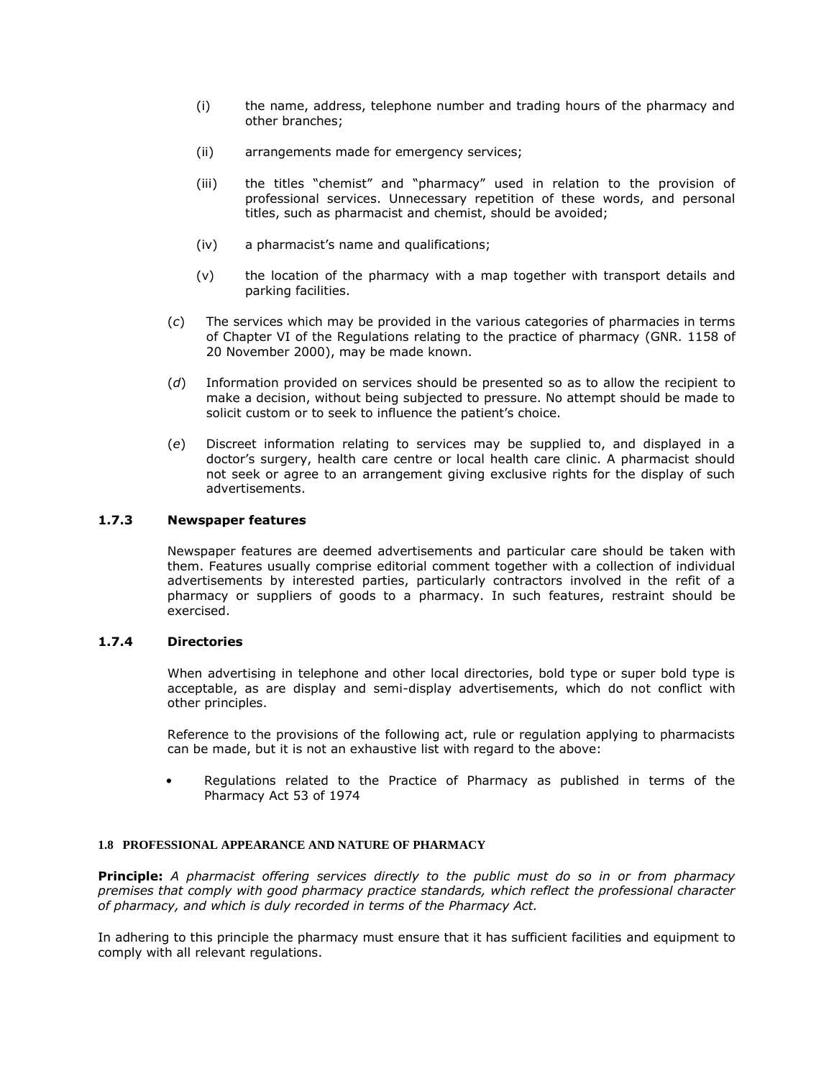- (i) the name, address, telephone number and trading hours of the pharmacy and other branches;
- (ii) arrangements made for emergency services;
- (iii) the titles "chemist" and "pharmacy" used in relation to the provision of professional services. Unnecessary repetition of these words, and personal titles, such as pharmacist and chemist, should be avoided;
- (iv) a pharmacist's name and qualifications;
- (v) the location of the pharmacy with a map together with transport details and parking facilities.
- (*c*) The services which may be provided in the various categories of pharmacies in terms of Chapter VI of the Regulations relating to the practice of pharmacy [\(GNR. 1158 of](http://www.mylexisnexis.co.za/nxt/gateway.dll/jilc/kilc/xjsg/zmsg/cnsg/6ok2a/zqk2a#351)  [20 November 2000\)](http://www.mylexisnexis.co.za/nxt/gateway.dll/jilc/kilc/xjsg/zmsg/cnsg/6ok2a/zqk2a#351), may be made known.
- (*d*) Information provided on services should be presented so as to allow the recipient to make a decision, without being subjected to pressure. No attempt should be made to solicit custom or to seek to influence the patient's choice.
- (*e*) Discreet information relating to services may be supplied to, and displayed in a doctor's surgery, health care centre or local health care clinic. A pharmacist should not seek or agree to an arrangement giving exclusive rights for the display of such advertisements.

# **1.7.3 Newspaper features**

Newspaper features are deemed advertisements and particular care should be taken with them. Features usually comprise editorial comment together with a collection of individual advertisements by interested parties, particularly contractors involved in the refit of a pharmacy or suppliers of goods to a pharmacy. In such features, restraint should be exercised.

#### **1.7.4 Directories**

When advertising in telephone and other local directories, bold type or super bold type is acceptable, as are display and semi-display advertisements, which do not conflict with other principles.

Reference to the provisions of the following act, rule or regulation applying to pharmacists can be made, but it is not an exhaustive list with regard to the above:

• Regulations related to the Practice of Pharmacy as published in terms of the Pharmacy Act [53 of 1974](http://www.mylexisnexis.co.za/nxt/gateway.dll/jilc/kilc/xjsg/zmsg/0msg#0)

#### **1.8 PROFESSIONAL APPEARANCE AND NATURE OF PHARMACY**

**Principle:** *A pharmacist offering services directly to the public must do so in or from pharmacy premises that comply with good pharmacy practice standards, which reflect the professional character of pharmacy, and which is duly recorded in terms of the Pharmacy Act.*

In adhering to this principle the pharmacy must ensure that it has sufficient facilities and equipment to comply with all relevant regulations.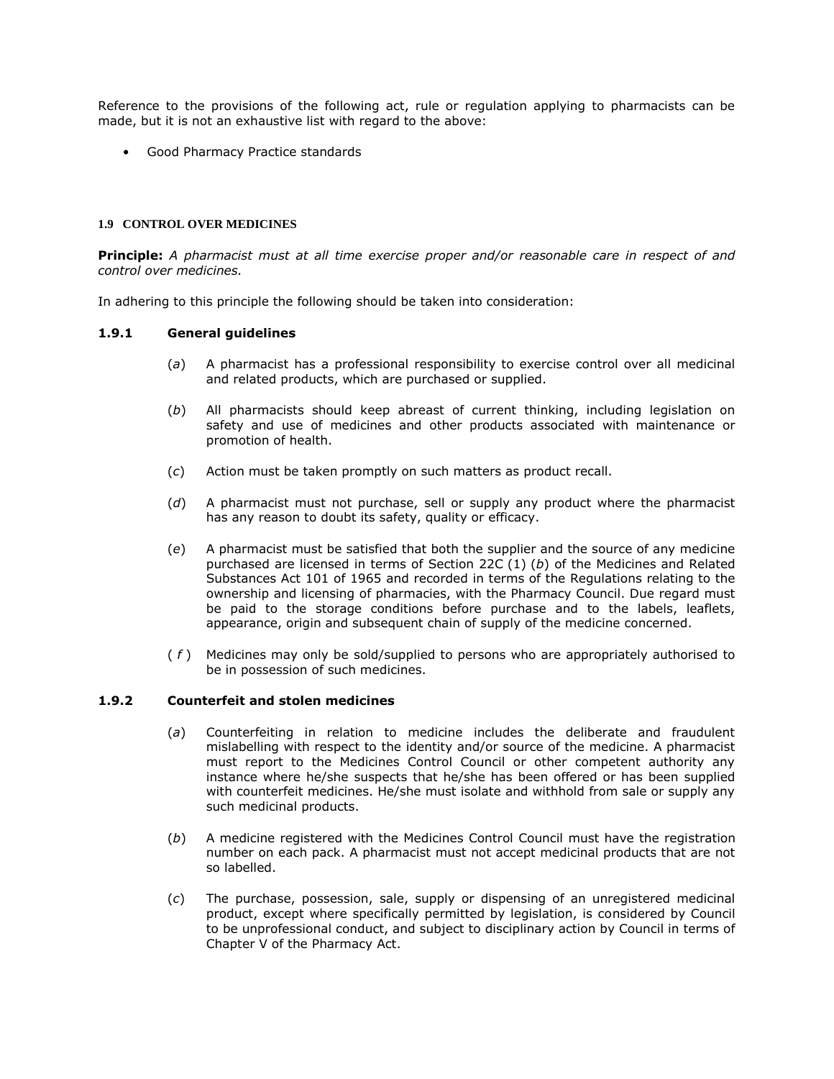Reference to the provisions of the following act, rule or regulation applying to pharmacists can be made, but it is not an exhaustive list with regard to the above:

• Good Pharmacy Practice standards

# **1.9 CONTROL OVER MEDICINES**

**Principle:** *A pharmacist must at all time exercise proper and/or reasonable care in respect of and control over medicines.*

In adhering to this principle the following should be taken into consideration:

### **1.9.1 General guidelines**

- (*a*) A pharmacist has a professional responsibility to exercise control over all medicinal and related products, which are purchased or supplied.
- (*b*) All pharmacists should keep abreast of current thinking, including legislation on safety and use of medicines and other products associated with maintenance or promotion of health.
- (*c*) Action must be taken promptly on such matters as product recall.
- (*d*) A pharmacist must not purchase, sell or supply any product where the pharmacist has any reason to doubt its safety, quality or efficacy.
- (*e*) A pharmacist must be satisfied that both the supplier and the source of any medicine purchased are licensed in terms of [Section 22C](http://www.mylexisnexis.co.za/nxt/gateway.dll/jilc/kilc/ezrg/p5rg/q5rg/panh#3) (1) (*b*) of the Medicines and Related Substances Act [101 of 1965](http://www.mylexisnexis.co.za/nxt/gateway.dll/jilc/kilc/ezrg/p5rg/q5rg#0) and recorded in terms of the Regulations relating to the ownership and licensing of pharmacies, with the Pharmacy Council. Due regard must be paid to the storage conditions before purchase and to the labels, leaflets, appearance, origin and subsequent chain of supply of the medicine concerned.
- ( *f* ) Medicines may only be sold/supplied to persons who are appropriately authorised to be in possession of such medicines.

# **1.9.2 Counterfeit and stolen medicines**

- (*a*) Counterfeiting in relation to medicine includes the deliberate and fraudulent mislabelling with respect to the identity and/or source of the medicine. A pharmacist must report to the Medicines Control Council or other competent authority any instance where he/she suspects that he/she has been offered or has been supplied with counterfeit medicines. He/she must isolate and withhold from sale or supply any such medicinal products.
- (*b*) A medicine registered with the Medicines Control Council must have the registration number on each pack. A pharmacist must not accept medicinal products that are not so labelled.
- (*c*) The purchase, possession, sale, supply or dispensing of an unregistered medicinal product, except where specifically permitted by legislation, is considered by Council to be unprofessional conduct, and subject to disciplinary action by Council in terms of Chapter V of the Pharmacy Act.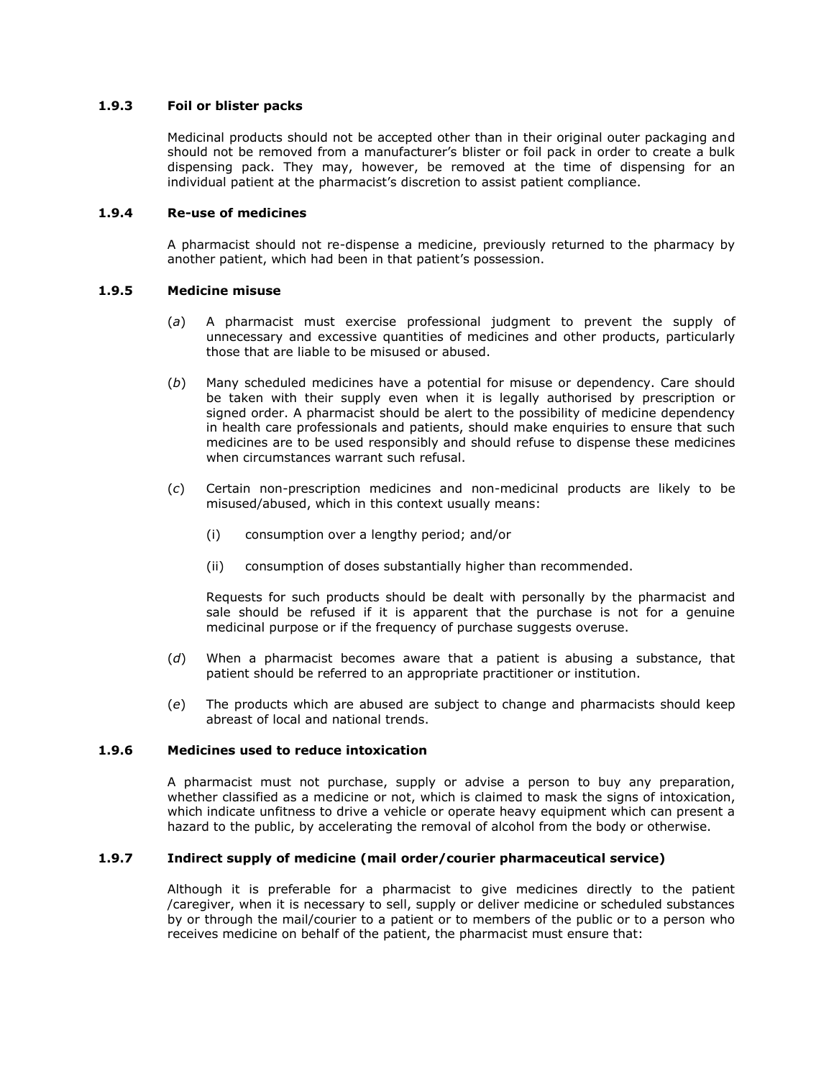## **1.9.3 Foil or blister packs**

Medicinal products should not be accepted other than in their original outer packaging and should not be removed from a manufacturer's blister or foil pack in order to create a bulk dispensing pack. They may, however, be removed at the time of dispensing for an individual patient at the pharmacist's discretion to assist patient compliance.

### **1.9.4 Re-use of medicines**

A pharmacist should not re-dispense a medicine, previously returned to the pharmacy by another patient, which had been in that patient's possession.

### **1.9.5 Medicine misuse**

- (*a*) A pharmacist must exercise professional judgment to prevent the supply of unnecessary and excessive quantities of medicines and other products, particularly those that are liable to be misused or abused.
- (*b*) Many scheduled medicines have a potential for misuse or dependency. Care should be taken with their supply even when it is legally authorised by prescription or signed order. A pharmacist should be alert to the possibility of medicine dependency in health care professionals and patients, should make enquiries to ensure that such medicines are to be used responsibly and should refuse to dispense these medicines when circumstances warrant such refusal.
- (*c*) Certain non-prescription medicines and non-medicinal products are likely to be misused/abused, which in this context usually means:
	- (i) consumption over a lengthy period; and/or
	- (ii) consumption of doses substantially higher than recommended.

Requests for such products should be dealt with personally by the pharmacist and sale should be refused if it is apparent that the purchase is not for a genuine medicinal purpose or if the frequency of purchase suggests overuse.

- (*d*) When a pharmacist becomes aware that a patient is abusing a substance, that patient should be referred to an appropriate practitioner or institution.
- (*e*) The products which are abused are subject to change and pharmacists should keep abreast of local and national trends.

# **1.9.6 Medicines used to reduce intoxication**

A pharmacist must not purchase, supply or advise a person to buy any preparation, whether classified as a medicine or not, which is claimed to mask the signs of intoxication, which indicate unfitness to drive a vehicle or operate heavy equipment which can present a hazard to the public, by accelerating the removal of alcohol from the body or otherwise.

## **1.9.7 Indirect supply of medicine (mail order/courier pharmaceutical service)**

Although it is preferable for a pharmacist to give medicines directly to the patient /caregiver, when it is necessary to sell, supply or deliver medicine or scheduled substances by or through the mail/courier to a patient or to members of the public or to a person who receives medicine on behalf of the patient, the pharmacist must ensure that: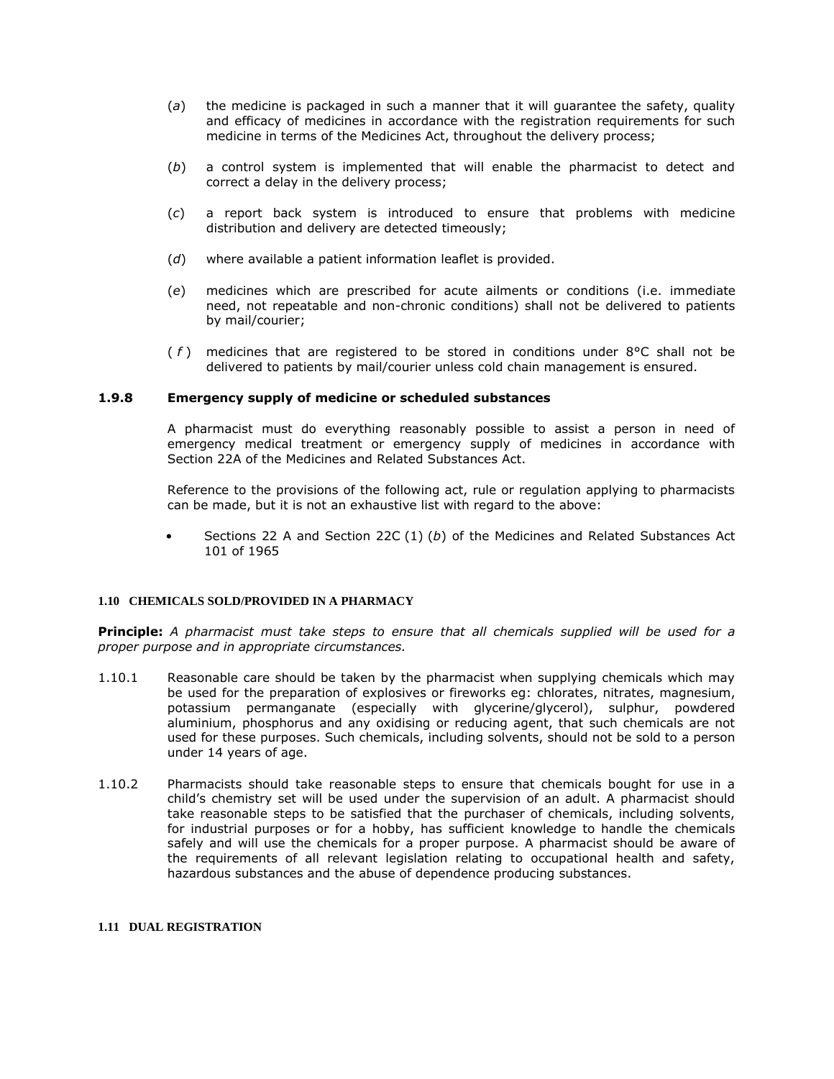- (*a*) the medicine is packaged in such a manner that it will guarantee the safety, quality and efficacy of medicines in accordance with the registration requirements for such medicine in terms of the Medicines Act, throughout the delivery process;
- (*b*) a control system is implemented that will enable the pharmacist to detect and correct a delay in the delivery process;
- (*c*) a report back system is introduced to ensure that problems with medicine distribution and delivery are detected timeously;
- (*d*) where available a patient information leaflet is provided.
- (*e*) medicines which are prescribed for acute ailments or conditions (i.e. immediate need, not repeatable and non-chronic conditions) shall not be delivered to patients by mail/courier;
- ( *f* ) medicines that are registered to be stored in conditions under 8°C shall not be delivered to patients by mail/courier unless cold chain management is ensured.

# **1.9.8 Emergency supply of medicine or scheduled substances**

A pharmacist must do everything reasonably possible to assist a person in need of emergency medical treatment or emergency supply of medicines in accordance with [Section 22A](http://www.mylexisnexis.co.za/nxt/gateway.dll/jilc/kilc/xjsg/zmsg/0msg/o24h#0) of the Medicines and Related Substances Act.

Reference to the provisions of the following act, rule or regulation applying to pharmacists can be made, but it is not an exhaustive list with regard to the above:

• [Sections 22](http://www.mylexisnexis.co.za/nxt/gateway.dll/jilc/kilc/xjsg/zmsg/0msg/m24h#0) A and [Section 22C](http://www.mylexisnexis.co.za/nxt/gateway.dll/jilc/kilc/ezrg/p5rg/q5rg/panh#3) (1) (*b*) of the Medicines and Related Substances Act [101 of 1965](http://www.mylexisnexis.co.za/nxt/gateway.dll/jilc/kilc/ezrg/p5rg/q5rg#0)

#### **1.10 CHEMICALS SOLD/PROVIDED IN A PHARMACY**

**Principle:** *A pharmacist must take steps to ensure that all chemicals supplied will be used for a proper purpose and in appropriate circumstances.*

- 1.10.1 Reasonable care should be taken by the pharmacist when supplying chemicals which may be used for the preparation of explosives or fireworks eg: chlorates, nitrates, magnesium, potassium permanganate (especially with glycerine/glycerol), sulphur, powdered aluminium, phosphorus and any oxidising or reducing agent, that such chemicals are not used for these purposes. Such chemicals, including solvents, should not be sold to a person under 14 years of age.
- 1.10.2 Pharmacists should take reasonable steps to ensure that chemicals bought for use in a child's chemistry set will be used under the supervision of an adult. A pharmacist should take reasonable steps to be satisfied that the purchaser of chemicals, including solvents, for industrial purposes or for a hobby, has sufficient knowledge to handle the chemicals safely and will use the chemicals for a proper purpose. A pharmacist should be aware of the requirements of all relevant legislation relating to occupational health and safety, hazardous substances and the abuse of dependence producing substances.

#### **1.11 DUAL REGISTRATION**